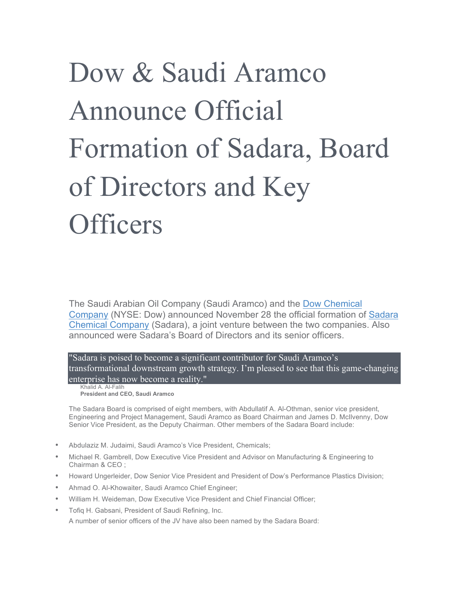## Dow & Saudi Aramco Announce Official Formation of Sadara, Board of Directors and Key **Officers**

The Saudi Arabian Oil Company (Saudi Aramco) and the Dow Chemical Company (NYSE: Dow) announced November 28 the official formation of Sadara Chemical Company (Sadara), a joint venture between the two companies. Also announced were Sadara's Board of Directors and its senior officers.

"Sadara is poised to become a significant contributor for Saudi Aramco's transformational downstream growth strategy. I'm pleased to see that this game-changing enterprise has now become a reality."

Khalid A. Al-Falih **President and CEO, Saudi Aramco**

The Sadara Board is comprised of eight members, with Abdullatif A. Al-Othman, senior vice president, Engineering and Project Management, Saudi Aramco as Board Chairman and James D. McIlvenny, Dow Senior Vice President, as the Deputy Chairman. Other members of the Sadara Board include:

- Abdulaziz M. Judaimi, Saudi Aramco's Vice President, Chemicals;
- Michael R. Gambrell, Dow Executive Vice President and Advisor on Manufacturing & Engineering to Chairman & CEO ;
- Howard Ungerleider, Dow Senior Vice President and President of Dow's Performance Plastics Division;
- Ahmad O. Al-Khowaiter, Saudi Aramco Chief Engineer;
- William H. Weideman, Dow Executive Vice President and Chief Financial Officer;
- Tofiq H. Gabsani, President of Saudi Refining, Inc. A number of senior officers of the JV have also been named by the Sadara Board: